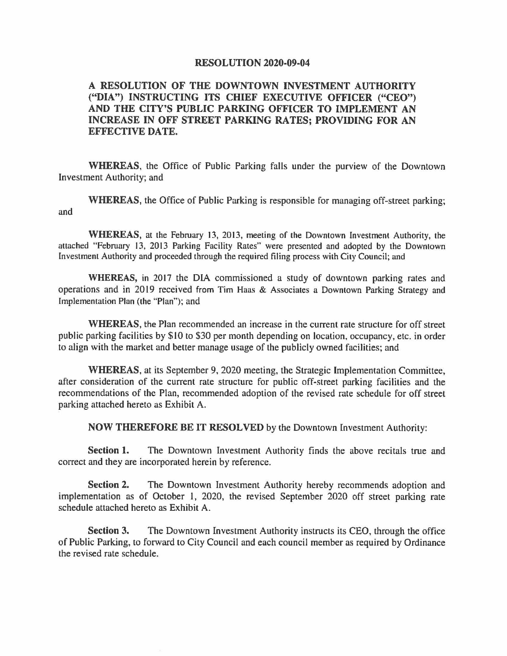## **RESOLUTION 2020-09-04**

## **A RESOLUTION OF THE DOWNTOWN INVESTMENT AUTHORITY ("DIA") INSTRUCTING ITS CHIEF EXECUTIVE OFFICER ("CEO") AND THE CITY'S PUBLIC PARKING OFFICER TO IMPLEMENT AN INCREASE IN OFF STREET PARKING RATES; PROVIDING FOR AN EFFECTIVE DATE.**

**WHEREAS,** the Office of Public Parking falls under the purview of the Downtown Investment Authority; and

**WHEREAS,** the Office of Public Parking is responsible for managing off-street parking; and

**WHEREAS,** at the February 13, 2013, meeting of the Downtown Investment Authority, the attached "February 13, 2013 Parking Facility Rates" were presented and adopted by the Downtown Investment Authority and proceeded through the required filing process with City Council; and

**WHEREAS,** in 2017 the DIA commissioned a study of downtown parking rates and operations and in 2019 received from Tim Haas & Associates a Downtown Parking Strategy and Implementation Plan (the "Plan"); and

**WHEREAS,** the Plan recommended an increase in the current rate structure for off street public parking facilities by \$10 to \$30 per month depending on location, occupancy, etc. in order to align with the market and better manage usage of the publicly owned facilities; and

**WHEREAS,** at its September 9, 2020 meeting, the Strategic Implementation Committee, after consideration of the current rate structure for public off-street parking facilities and the recommendations of the Plan, recommended adoption of the revised rate schedule for off street parking attached hereto as Exhibit A.

**NOW THEREFORE BE IT RESOLVED** by the Downtown Investment Authority:

**Section 1.** The Downtown Investment Authority finds the above recitals true and correct and they are incorporated herein by reference.

**Section 2.** The Downtown Investment Authority hereby recommends adoption and implementation as of October 1, 2020, the revised September 2020 off street parking rate schedule attached hereto as Exhibit A.

**Section 3.** The Downtown Investment Authority instructs its CEO, through the office of Public Parking, to forward to City Council and each council member as required by Ordinance the revised rate schedule.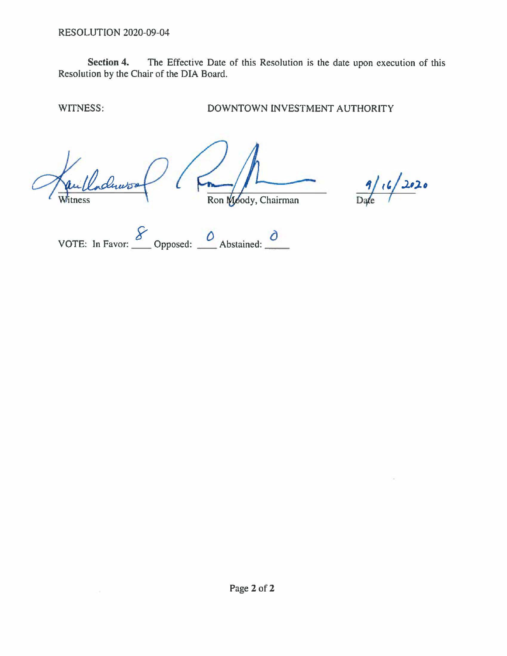**Section 4.** The Effective Date of this Resolution is the date upon execution of this Resolution by the Chair of the DIA Board.

WITNESS: DOWNTOWN INVESTMENT AUTHORITY

hutto Ron Moody, Chairman

 $9/16/2020$  $\overline{D}$ 

VOTE: In Favor:  $\frac{\mathcal{S}}{\mathcal{S}}$  Opposed:  $\frac{\mathcal{O}}{\mathcal{S}}$  Abstained:  $\frac{\mathcal{O}}{\mathcal{S}}$